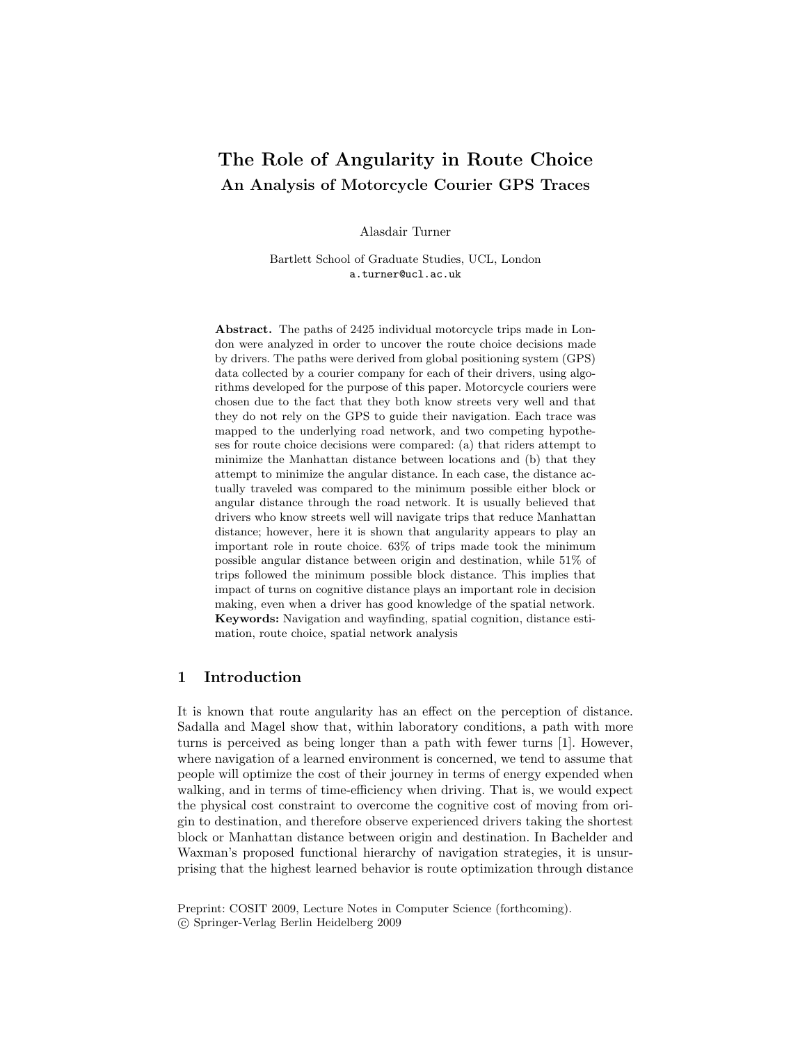# The Role of Angularity in Route Choice An Analysis of Motorcycle Courier GPS Traces

Alasdair Turner

Bartlett School of Graduate Studies, UCL, London a.turner@ucl.ac.uk

Abstract. The paths of 2425 individual motorcycle trips made in London were analyzed in order to uncover the route choice decisions made by drivers. The paths were derived from global positioning system (GPS) data collected by a courier company for each of their drivers, using algorithms developed for the purpose of this paper. Motorcycle couriers were chosen due to the fact that they both know streets very well and that they do not rely on the GPS to guide their navigation. Each trace was mapped to the underlying road network, and two competing hypotheses for route choice decisions were compared: (a) that riders attempt to minimize the Manhattan distance between locations and (b) that they attempt to minimize the angular distance. In each case, the distance actually traveled was compared to the minimum possible either block or angular distance through the road network. It is usually believed that drivers who know streets well will navigate trips that reduce Manhattan distance; however, here it is shown that angularity appears to play an important role in route choice. 63% of trips made took the minimum possible angular distance between origin and destination, while 51% of trips followed the minimum possible block distance. This implies that impact of turns on cognitive distance plays an important role in decision making, even when a driver has good knowledge of the spatial network. Keywords: Navigation and wayfinding, spatial cognition, distance estimation, route choice, spatial network analysis

# 1 Introduction

It is known that route angularity has an effect on the perception of distance. Sadalla and Magel show that, within laboratory conditions, a path with more turns is perceived as being longer than a path with fewer turns [1]. However, where navigation of a learned environment is concerned, we tend to assume that people will optimize the cost of their journey in terms of energy expended when walking, and in terms of time-efficiency when driving. That is, we would expect the physical cost constraint to overcome the cognitive cost of moving from origin to destination, and therefore observe experienced drivers taking the shortest block or Manhattan distance between origin and destination. In Bachelder and Waxman's proposed functional hierarchy of navigation strategies, it is unsurprising that the highest learned behavior is route optimization through distance

Preprint: COSIT 2009, Lecture Notes in Computer Science (forthcoming). c Springer-Verlag Berlin Heidelberg 2009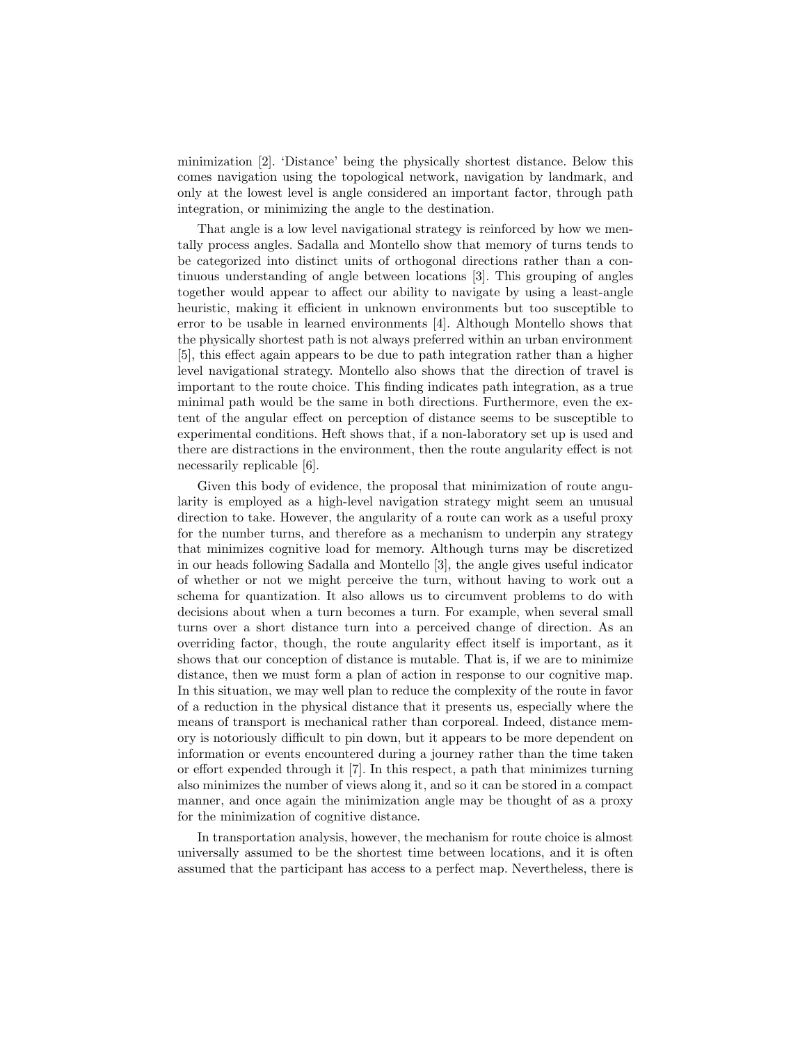minimization [2]. 'Distance' being the physically shortest distance. Below this comes navigation using the topological network, navigation by landmark, and only at the lowest level is angle considered an important factor, through path integration, or minimizing the angle to the destination.

That angle is a low level navigational strategy is reinforced by how we mentally process angles. Sadalla and Montello show that memory of turns tends to be categorized into distinct units of orthogonal directions rather than a continuous understanding of angle between locations [3]. This grouping of angles together would appear to affect our ability to navigate by using a least-angle heuristic, making it efficient in unknown environments but too susceptible to error to be usable in learned environments [4]. Although Montello shows that the physically shortest path is not always preferred within an urban environment [5], this effect again appears to be due to path integration rather than a higher level navigational strategy. Montello also shows that the direction of travel is important to the route choice. This finding indicates path integration, as a true minimal path would be the same in both directions. Furthermore, even the extent of the angular effect on perception of distance seems to be susceptible to experimental conditions. Heft shows that, if a non-laboratory set up is used and there are distractions in the environment, then the route angularity effect is not necessarily replicable [6].

Given this body of evidence, the proposal that minimization of route angularity is employed as a high-level navigation strategy might seem an unusual direction to take. However, the angularity of a route can work as a useful proxy for the number turns, and therefore as a mechanism to underpin any strategy that minimizes cognitive load for memory. Although turns may be discretized in our heads following Sadalla and Montello [3], the angle gives useful indicator of whether or not we might perceive the turn, without having to work out a schema for quantization. It also allows us to circumvent problems to do with decisions about when a turn becomes a turn. For example, when several small turns over a short distance turn into a perceived change of direction. As an overriding factor, though, the route angularity effect itself is important, as it shows that our conception of distance is mutable. That is, if we are to minimize distance, then we must form a plan of action in response to our cognitive map. In this situation, we may well plan to reduce the complexity of the route in favor of a reduction in the physical distance that it presents us, especially where the means of transport is mechanical rather than corporeal. Indeed, distance memory is notoriously difficult to pin down, but it appears to be more dependent on information or events encountered during a journey rather than the time taken or effort expended through it [7]. In this respect, a path that minimizes turning also minimizes the number of views along it, and so it can be stored in a compact manner, and once again the minimization angle may be thought of as a proxy for the minimization of cognitive distance.

In transportation analysis, however, the mechanism for route choice is almost universally assumed to be the shortest time between locations, and it is often assumed that the participant has access to a perfect map. Nevertheless, there is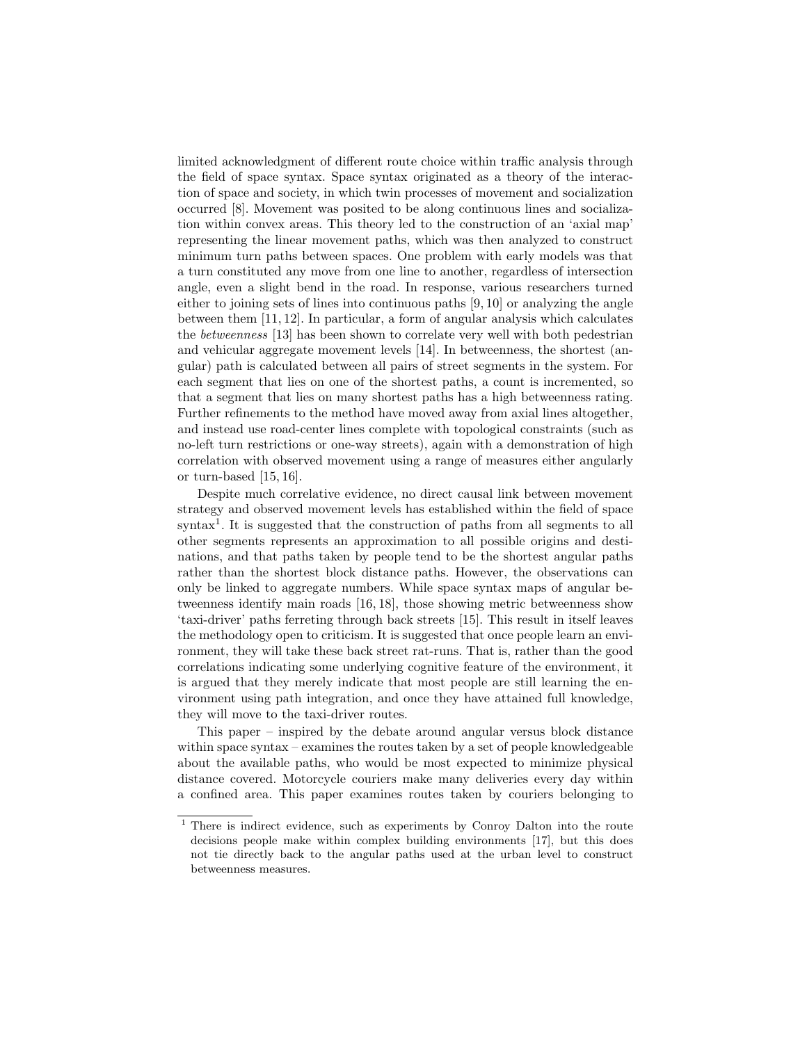limited acknowledgment of different route choice within traffic analysis through the field of space syntax. Space syntax originated as a theory of the interaction of space and society, in which twin processes of movement and socialization occurred [8]. Movement was posited to be along continuous lines and socialization within convex areas. This theory led to the construction of an 'axial map' representing the linear movement paths, which was then analyzed to construct minimum turn paths between spaces. One problem with early models was that a turn constituted any move from one line to another, regardless of intersection angle, even a slight bend in the road. In response, various researchers turned either to joining sets of lines into continuous paths [9, 10] or analyzing the angle between them [11, 12]. In particular, a form of angular analysis which calculates the betweenness [13] has been shown to correlate very well with both pedestrian and vehicular aggregate movement levels [14]. In betweenness, the shortest (angular) path is calculated between all pairs of street segments in the system. For each segment that lies on one of the shortest paths, a count is incremented, so that a segment that lies on many shortest paths has a high betweenness rating. Further refinements to the method have moved away from axial lines altogether, and instead use road-center lines complete with topological constraints (such as no-left turn restrictions or one-way streets), again with a demonstration of high correlation with observed movement using a range of measures either angularly or turn-based [15, 16].

Despite much correlative evidence, no direct causal link between movement strategy and observed movement levels has established within the field of space syntax<sup>1</sup>. It is suggested that the construction of paths from all segments to all other segments represents an approximation to all possible origins and destinations, and that paths taken by people tend to be the shortest angular paths rather than the shortest block distance paths. However, the observations can only be linked to aggregate numbers. While space syntax maps of angular betweenness identify main roads [16, 18], those showing metric betweenness show 'taxi-driver' paths ferreting through back streets [15]. This result in itself leaves the methodology open to criticism. It is suggested that once people learn an environment, they will take these back street rat-runs. That is, rather than the good correlations indicating some underlying cognitive feature of the environment, it is argued that they merely indicate that most people are still learning the environment using path integration, and once they have attained full knowledge, they will move to the taxi-driver routes.

This paper – inspired by the debate around angular versus block distance within space syntax – examines the routes taken by a set of people knowledgeable about the available paths, who would be most expected to minimize physical distance covered. Motorcycle couriers make many deliveries every day within a confined area. This paper examines routes taken by couriers belonging to

<sup>&</sup>lt;sup>1</sup> There is indirect evidence, such as experiments by Conroy Dalton into the route decisions people make within complex building environments [17], but this does not tie directly back to the angular paths used at the urban level to construct betweenness measures.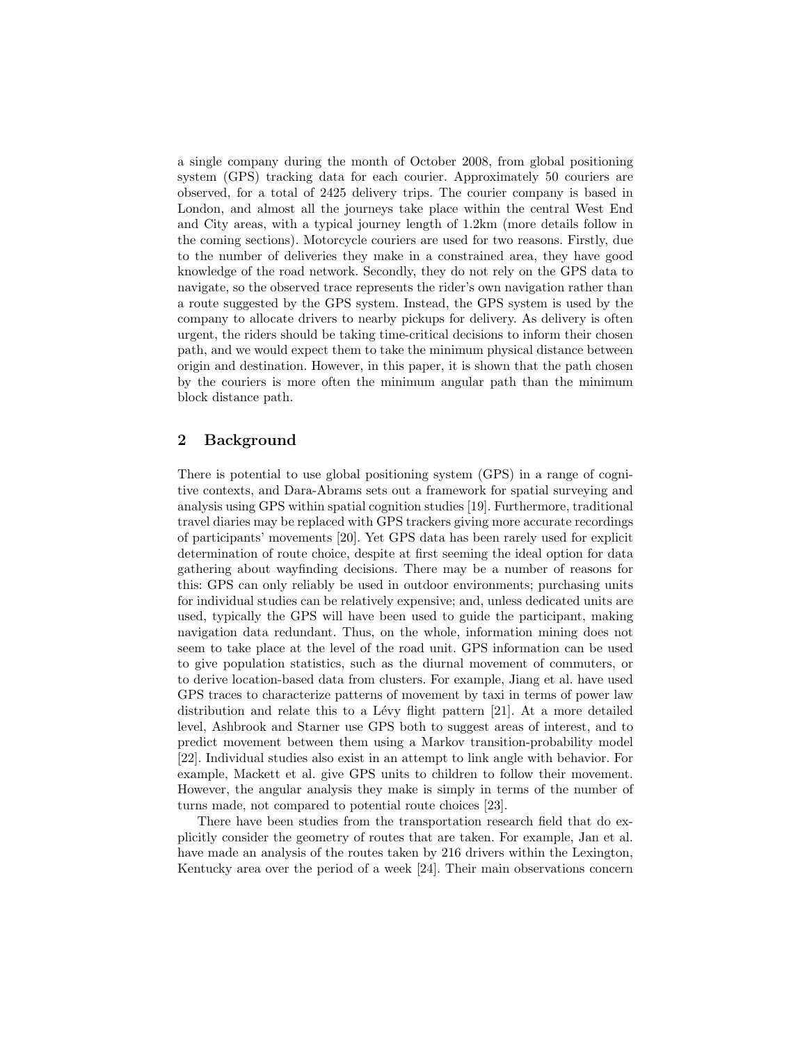a single company during the month of October 2008, from global positioning system (GPS) tracking data for each courier. Approximately 50 couriers are observed, for a total of 2425 delivery trips. The courier company is based in London, and almost all the journeys take place within the central West End and City areas, with a typical journey length of 1.2km (more details follow in the coming sections). Motorcycle couriers are used for two reasons. Firstly, due to the number of deliveries they make in a constrained area, they have good knowledge of the road network. Secondly, they do not rely on the GPS data to navigate, so the observed trace represents the rider's own navigation rather than a route suggested by the GPS system. Instead, the GPS system is used by the company to allocate drivers to nearby pickups for delivery. As delivery is often urgent, the riders should be taking time-critical decisions to inform their chosen path, and we would expect them to take the minimum physical distance between origin and destination. However, in this paper, it is shown that the path chosen by the couriers is more often the minimum angular path than the minimum block distance path.

## 2 Background

There is potential to use global positioning system (GPS) in a range of cognitive contexts, and Dara-Abrams sets out a framework for spatial surveying and analysis using GPS within spatial cognition studies [19]. Furthermore, traditional travel diaries may be replaced with GPS trackers giving more accurate recordings of participants' movements [20]. Yet GPS data has been rarely used for explicit determination of route choice, despite at first seeming the ideal option for data gathering about wayfinding decisions. There may be a number of reasons for this: GPS can only reliably be used in outdoor environments; purchasing units for individual studies can be relatively expensive; and, unless dedicated units are used, typically the GPS will have been used to guide the participant, making navigation data redundant. Thus, on the whole, information mining does not seem to take place at the level of the road unit. GPS information can be used to give population statistics, such as the diurnal movement of commuters, or to derive location-based data from clusters. For example, Jiang et al. have used GPS traces to characterize patterns of movement by taxi in terms of power law distribution and relate this to a Lévy flight pattern  $[21]$ . At a more detailed level, Ashbrook and Starner use GPS both to suggest areas of interest, and to predict movement between them using a Markov transition-probability model [22]. Individual studies also exist in an attempt to link angle with behavior. For example, Mackett et al. give GPS units to children to follow their movement. However, the angular analysis they make is simply in terms of the number of turns made, not compared to potential route choices [23].

There have been studies from the transportation research field that do explicitly consider the geometry of routes that are taken. For example, Jan et al. have made an analysis of the routes taken by 216 drivers within the Lexington, Kentucky area over the period of a week [24]. Their main observations concern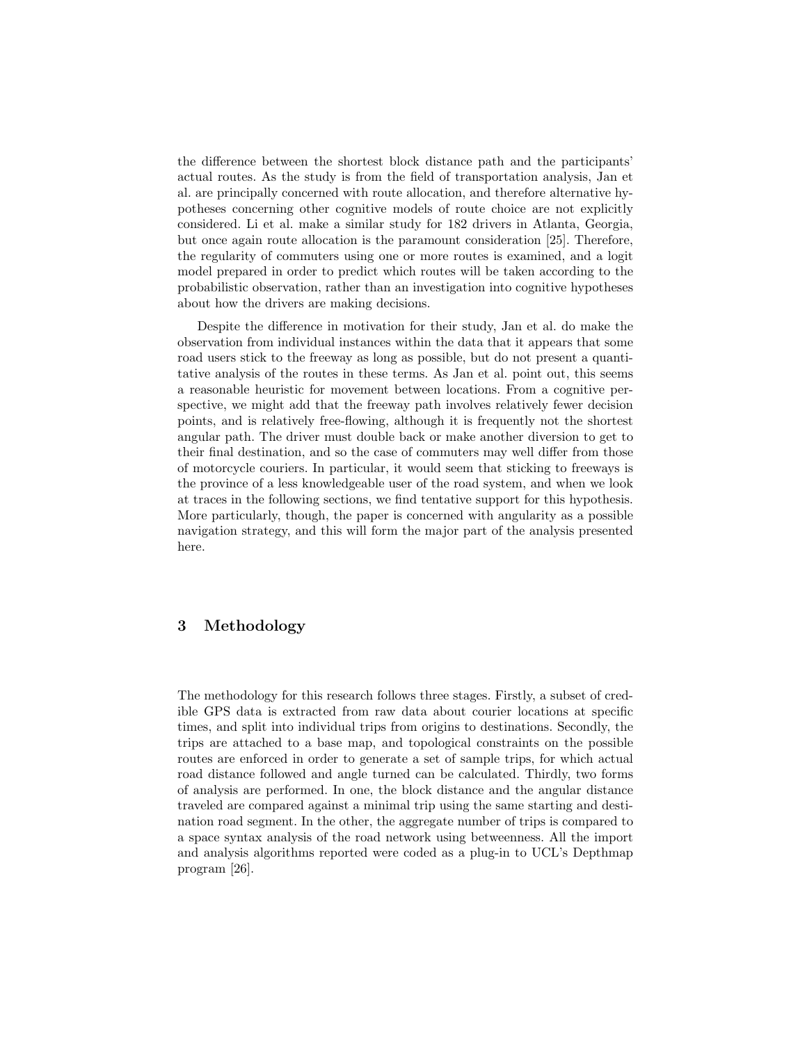the difference between the shortest block distance path and the participants' actual routes. As the study is from the field of transportation analysis, Jan et al. are principally concerned with route allocation, and therefore alternative hypotheses concerning other cognitive models of route choice are not explicitly considered. Li et al. make a similar study for 182 drivers in Atlanta, Georgia, but once again route allocation is the paramount consideration [25]. Therefore, the regularity of commuters using one or more routes is examined, and a logit model prepared in order to predict which routes will be taken according to the probabilistic observation, rather than an investigation into cognitive hypotheses about how the drivers are making decisions.

Despite the difference in motivation for their study, Jan et al. do make the observation from individual instances within the data that it appears that some road users stick to the freeway as long as possible, but do not present a quantitative analysis of the routes in these terms. As Jan et al. point out, this seems a reasonable heuristic for movement between locations. From a cognitive perspective, we might add that the freeway path involves relatively fewer decision points, and is relatively free-flowing, although it is frequently not the shortest angular path. The driver must double back or make another diversion to get to their final destination, and so the case of commuters may well differ from those of motorcycle couriers. In particular, it would seem that sticking to freeways is the province of a less knowledgeable user of the road system, and when we look at traces in the following sections, we find tentative support for this hypothesis. More particularly, though, the paper is concerned with angularity as a possible navigation strategy, and this will form the major part of the analysis presented here.

# 3 Methodology

The methodology for this research follows three stages. Firstly, a subset of credible GPS data is extracted from raw data about courier locations at specific times, and split into individual trips from origins to destinations. Secondly, the trips are attached to a base map, and topological constraints on the possible routes are enforced in order to generate a set of sample trips, for which actual road distance followed and angle turned can be calculated. Thirdly, two forms of analysis are performed. In one, the block distance and the angular distance traveled are compared against a minimal trip using the same starting and destination road segment. In the other, the aggregate number of trips is compared to a space syntax analysis of the road network using betweenness. All the import and analysis algorithms reported were coded as a plug-in to UCL's Depthmap program [26].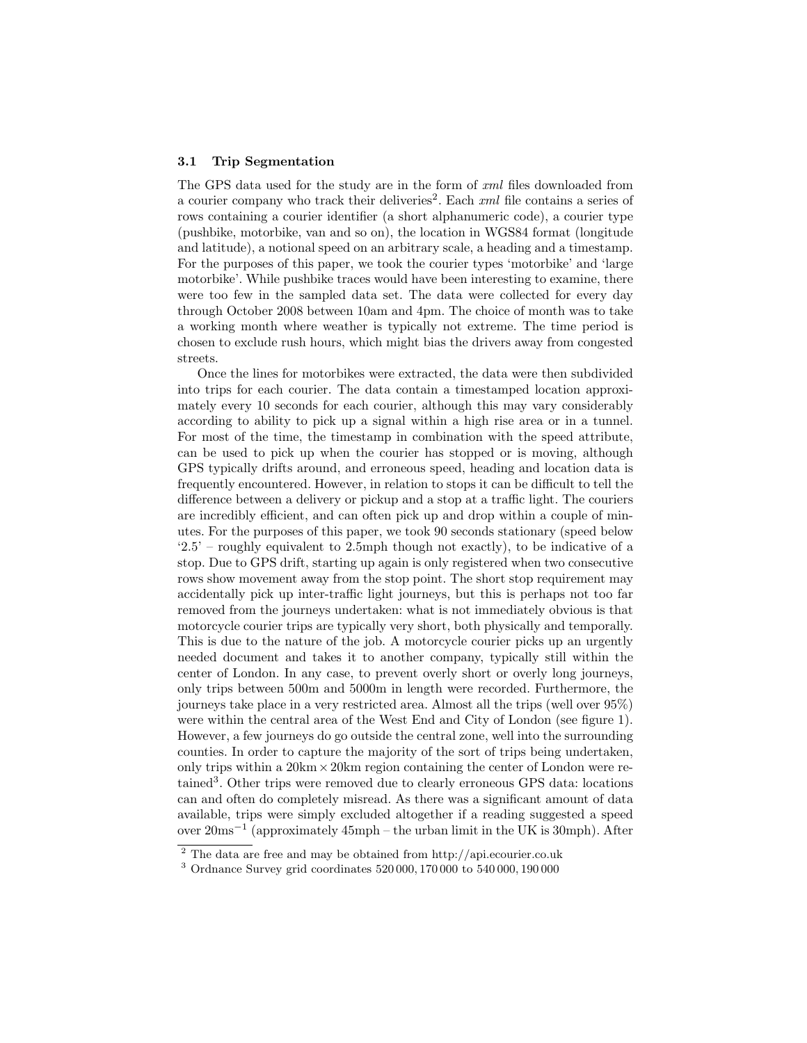#### 3.1 Trip Segmentation

The GPS data used for the study are in the form of xml files downloaded from a courier company who track their deliveries<sup>2</sup>. Each  $xml$  file contains a series of rows containing a courier identifier (a short alphanumeric code), a courier type (pushbike, motorbike, van and so on), the location in WGS84 format (longitude and latitude), a notional speed on an arbitrary scale, a heading and a timestamp. For the purposes of this paper, we took the courier types 'motorbike' and 'large motorbike'. While pushbike traces would have been interesting to examine, there were too few in the sampled data set. The data were collected for every day through October 2008 between 10am and 4pm. The choice of month was to take a working month where weather is typically not extreme. The time period is chosen to exclude rush hours, which might bias the drivers away from congested streets.

Once the lines for motorbikes were extracted, the data were then subdivided into trips for each courier. The data contain a timestamped location approximately every 10 seconds for each courier, although this may vary considerably according to ability to pick up a signal within a high rise area or in a tunnel. For most of the time, the timestamp in combination with the speed attribute, can be used to pick up when the courier has stopped or is moving, although GPS typically drifts around, and erroneous speed, heading and location data is frequently encountered. However, in relation to stops it can be difficult to tell the difference between a delivery or pickup and a stop at a traffic light. The couriers are incredibly efficient, and can often pick up and drop within a couple of minutes. For the purposes of this paper, we took 90 seconds stationary (speed below  $2.5'$  – roughly equivalent to 2.5mph though not exactly), to be indicative of a stop. Due to GPS drift, starting up again is only registered when two consecutive rows show movement away from the stop point. The short stop requirement may accidentally pick up inter-traffic light journeys, but this is perhaps not too far removed from the journeys undertaken: what is not immediately obvious is that motorcycle courier trips are typically very short, both physically and temporally. This is due to the nature of the job. A motorcycle courier picks up an urgently needed document and takes it to another company, typically still within the center of London. In any case, to prevent overly short or overly long journeys, only trips between 500m and 5000m in length were recorded. Furthermore, the journeys take place in a very restricted area. Almost all the trips (well over 95%) were within the central area of the West End and City of London (see figure 1). However, a few journeys do go outside the central zone, well into the surrounding counties. In order to capture the majority of the sort of trips being undertaken, only trips within a  $20 \text{km} \times 20 \text{km}$  region containing the center of London were retained<sup>3</sup>. Other trips were removed due to clearly erroneous GPS data: locations can and often do completely misread. As there was a significant amount of data available, trips were simply excluded altogether if a reading suggested a speed over 20ms<sup>−</sup><sup>1</sup> (approximately 45mph – the urban limit in the UK is 30mph). After

 $\frac{2}{1}$  The data are free and may be obtained from http://api.ecourier.co.uk

<sup>3</sup> Ordnance Survey grid coordinates 520 000, 170 000 to 540 000, 190 000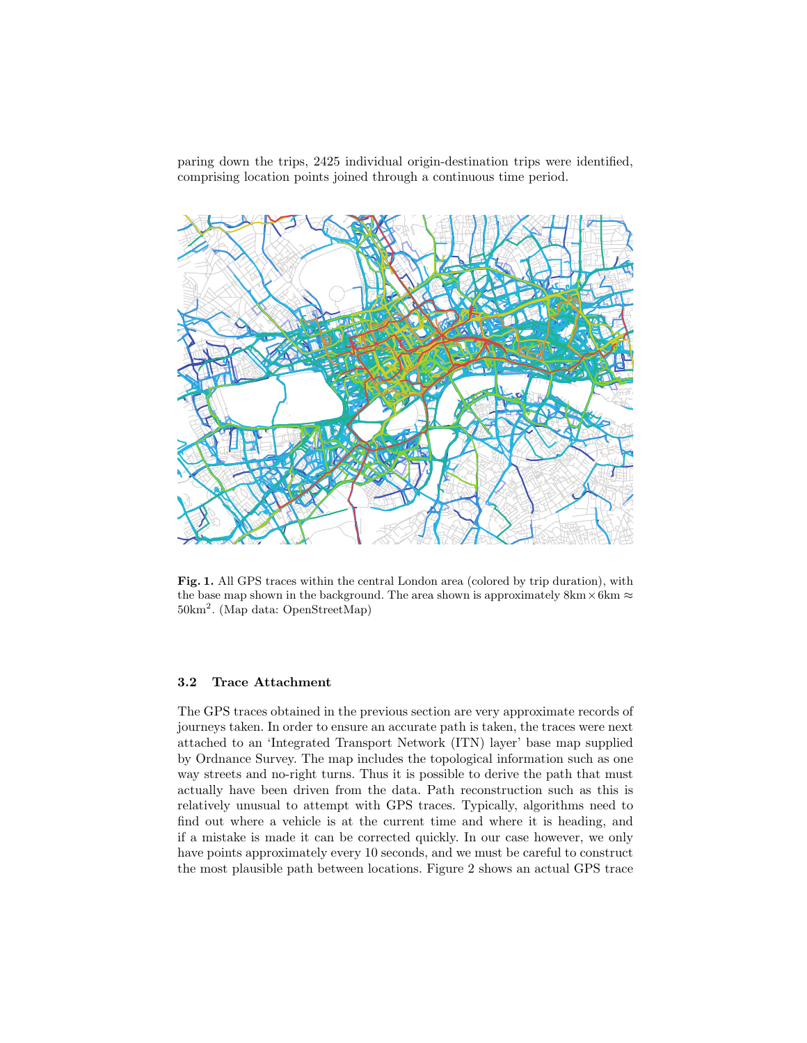paring down the trips, 2425 individual origin-destination trips were identified, comprising location points joined through a continuous time period.



Fig. 1. All GPS traces within the central London area (colored by trip duration), with the base map shown in the background. The area shown is approximately  $8 \text{km} \times 6 \text{km} \approx$ 50km<sup>2</sup> . (Map data: OpenStreetMap)

## 3.2 Trace Attachment

The GPS traces obtained in the previous section are very approximate records of journeys taken. In order to ensure an accurate path is taken, the traces were next attached to an 'Integrated Transport Network (ITN) layer' base map supplied by Ordnance Survey. The map includes the topological information such as one way streets and no-right turns. Thus it is possible to derive the path that must actually have been driven from the data. Path reconstruction such as this is relatively unusual to attempt with GPS traces. Typically, algorithms need to find out where a vehicle is at the current time and where it is heading, and if a mistake is made it can be corrected quickly. In our case however, we only have points approximately every 10 seconds, and we must be careful to construct the most plausible path between locations. Figure 2 shows an actual GPS trace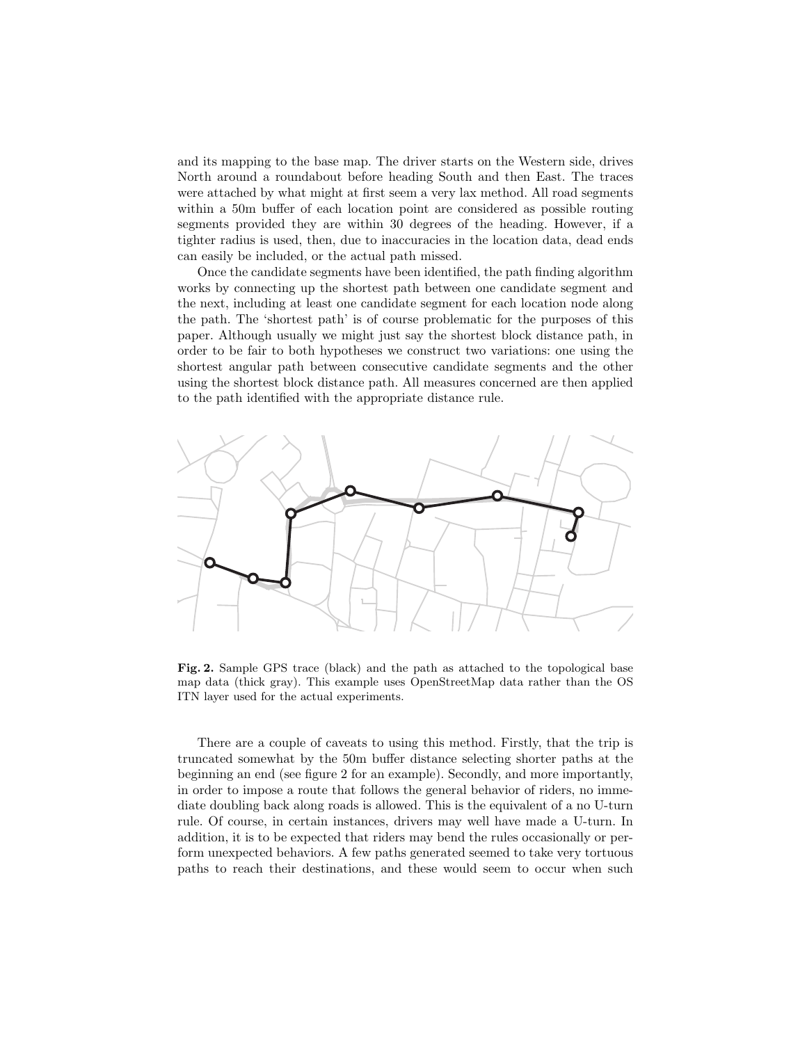and its mapping to the base map. The driver starts on the Western side, drives North around a roundabout before heading South and then East. The traces were attached by what might at first seem a very lax method. All road segments within a 50m buffer of each location point are considered as possible routing segments provided they are within 30 degrees of the heading. However, if a tighter radius is used, then, due to inaccuracies in the location data, dead ends can easily be included, or the actual path missed.

Once the candidate segments have been identified, the path finding algorithm works by connecting up the shortest path between one candidate segment and the next, including at least one candidate segment for each location node along the path. The 'shortest path' is of course problematic for the purposes of this paper. Although usually we might just say the shortest block distance path, in order to be fair to both hypotheses we construct two variations: one using the shortest angular path between consecutive candidate segments and the other using the shortest block distance path. All measures concerned are then applied to the path identified with the appropriate distance rule.



Fig. 2. Sample GPS trace (black) and the path as attached to the topological base map data (thick gray). This example uses OpenStreetMap data rather than the OS ITN layer used for the actual experiments.

There are a couple of caveats to using this method. Firstly, that the trip is truncated somewhat by the 50m buffer distance selecting shorter paths at the beginning an end (see figure 2 for an example). Secondly, and more importantly, in order to impose a route that follows the general behavior of riders, no immediate doubling back along roads is allowed. This is the equivalent of a no U-turn rule. Of course, in certain instances, drivers may well have made a U-turn. In addition, it is to be expected that riders may bend the rules occasionally or perform unexpected behaviors. A few paths generated seemed to take very tortuous paths to reach their destinations, and these would seem to occur when such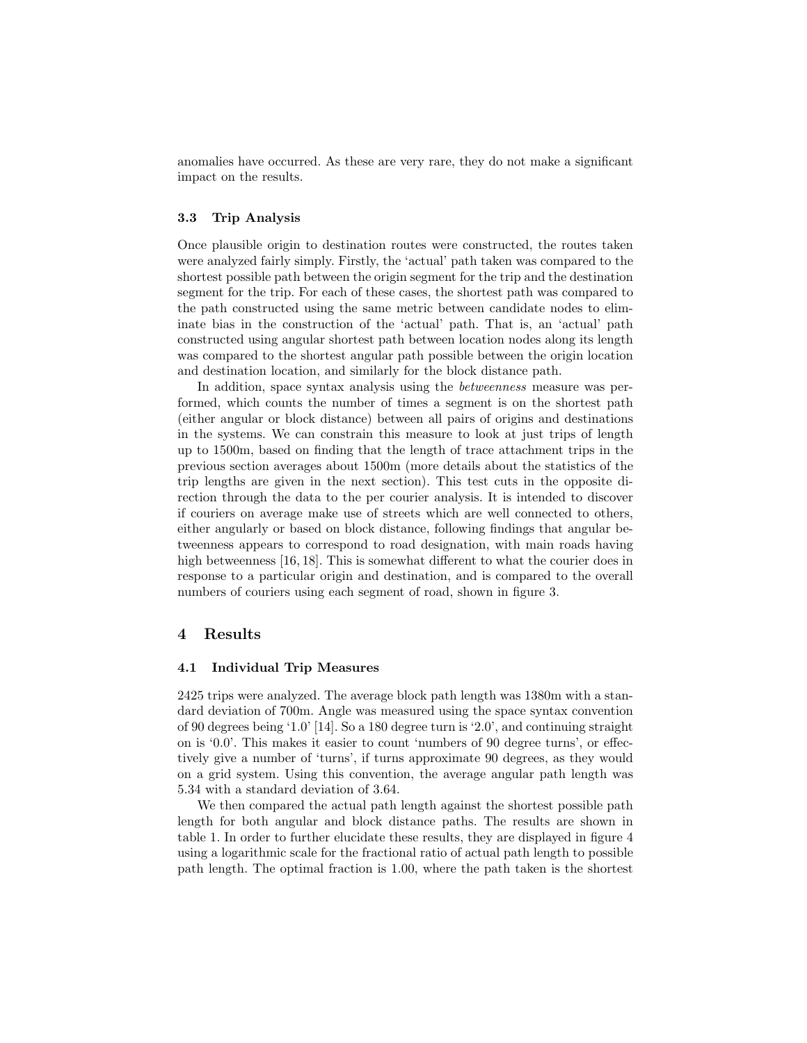anomalies have occurred. As these are very rare, they do not make a significant impact on the results.

#### 3.3 Trip Analysis

Once plausible origin to destination routes were constructed, the routes taken were analyzed fairly simply. Firstly, the 'actual' path taken was compared to the shortest possible path between the origin segment for the trip and the destination segment for the trip. For each of these cases, the shortest path was compared to the path constructed using the same metric between candidate nodes to eliminate bias in the construction of the 'actual' path. That is, an 'actual' path constructed using angular shortest path between location nodes along its length was compared to the shortest angular path possible between the origin location and destination location, and similarly for the block distance path.

In addition, space syntax analysis using the betweenness measure was performed, which counts the number of times a segment is on the shortest path (either angular or block distance) between all pairs of origins and destinations in the systems. We can constrain this measure to look at just trips of length up to 1500m, based on finding that the length of trace attachment trips in the previous section averages about 1500m (more details about the statistics of the trip lengths are given in the next section). This test cuts in the opposite direction through the data to the per courier analysis. It is intended to discover if couriers on average make use of streets which are well connected to others, either angularly or based on block distance, following findings that angular betweenness appears to correspond to road designation, with main roads having high betweenness [16, 18]. This is somewhat different to what the courier does in response to a particular origin and destination, and is compared to the overall numbers of couriers using each segment of road, shown in figure 3.

#### 4 Results

#### 4.1 Individual Trip Measures

2425 trips were analyzed. The average block path length was 1380m with a standard deviation of 700m. Angle was measured using the space syntax convention of 90 degrees being '1.0' [14]. So a 180 degree turn is '2.0', and continuing straight on is '0.0'. This makes it easier to count 'numbers of 90 degree turns', or effectively give a number of 'turns', if turns approximate 90 degrees, as they would on a grid system. Using this convention, the average angular path length was 5.34 with a standard deviation of 3.64.

We then compared the actual path length against the shortest possible path length for both angular and block distance paths. The results are shown in table 1. In order to further elucidate these results, they are displayed in figure 4 using a logarithmic scale for the fractional ratio of actual path length to possible path length. The optimal fraction is 1.00, where the path taken is the shortest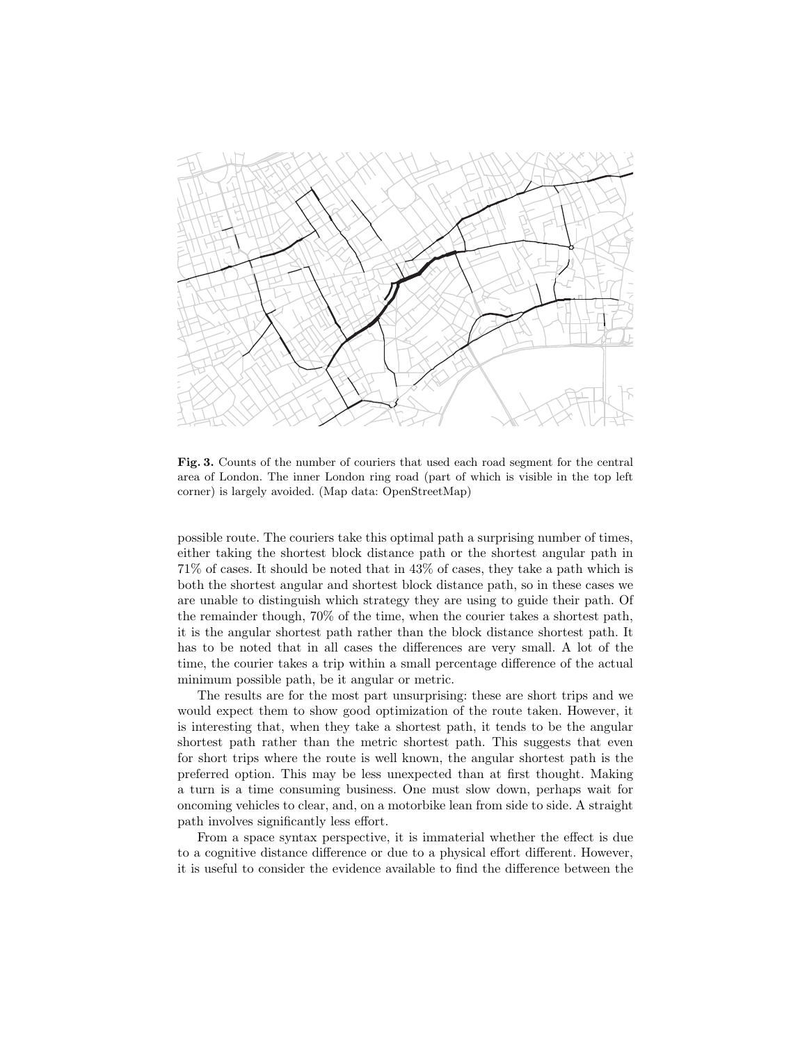

Fig. 3. Counts of the number of couriers that used each road segment for the central area of London. The inner London ring road (part of which is visible in the top left corner) is largely avoided. (Map data: OpenStreetMap)

possible route. The couriers take this optimal path a surprising number of times, either taking the shortest block distance path or the shortest angular path in 71% of cases. It should be noted that in 43% of cases, they take a path which is both the shortest angular and shortest block distance path, so in these cases we are unable to distinguish which strategy they are using to guide their path. Of the remainder though, 70% of the time, when the courier takes a shortest path, it is the angular shortest path rather than the block distance shortest path. It has to be noted that in all cases the differences are very small. A lot of the time, the courier takes a trip within a small percentage difference of the actual minimum possible path, be it angular or metric.

The results are for the most part unsurprising: these are short trips and we would expect them to show good optimization of the route taken. However, it is interesting that, when they take a shortest path, it tends to be the angular shortest path rather than the metric shortest path. This suggests that even for short trips where the route is well known, the angular shortest path is the preferred option. This may be less unexpected than at first thought. Making a turn is a time consuming business. One must slow down, perhaps wait for oncoming vehicles to clear, and, on a motorbike lean from side to side. A straight path involves significantly less effort.

From a space syntax perspective, it is immaterial whether the effect is due to a cognitive distance difference or due to a physical effort different. However, it is useful to consider the evidence available to find the difference between the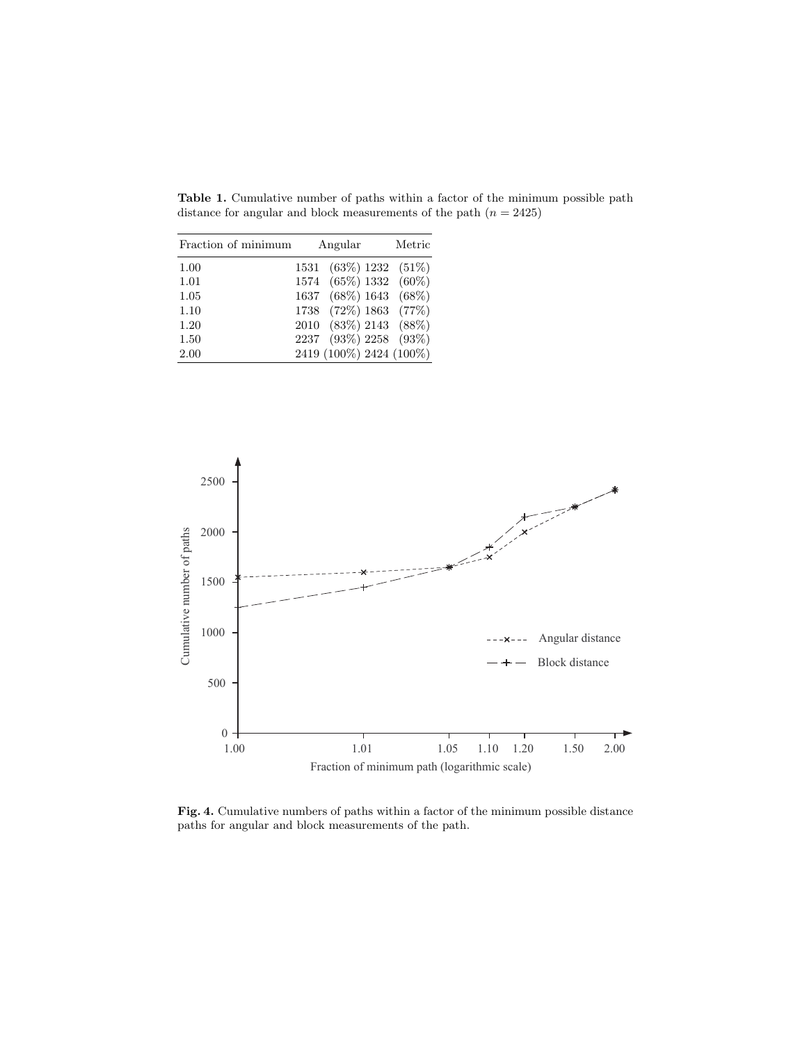| Fraction of minimum | Angular |                       | Metric |                         |
|---------------------|---------|-----------------------|--------|-------------------------|
| 1.00                |         | 1531 (63%) 1232 (51%) |        |                         |
| 1.01                |         | 1574 (65%) 1332 (60%) |        |                         |
| 1.05                |         | 1637 (68%) 1643 (68%) |        |                         |
| 1.10                |         | 1738 (72%) 1863 (77%) |        |                         |
| 1.20                |         | 2010 (83%) 2143 (88%) |        |                         |
| 1.50                |         | 2237 (93%) 2258 (93%) |        |                         |
| 2.00                |         |                       |        | 2419 (100%) 2424 (100%) |

Table 1. Cumulative number of paths within a factor of the minimum possible path distance for angular and block measurements of the path  $(n = 2425)$ 



Fig. 4. Cumulative numbers of paths within a factor of the minimum possible distance paths for angular and block measurements of the path.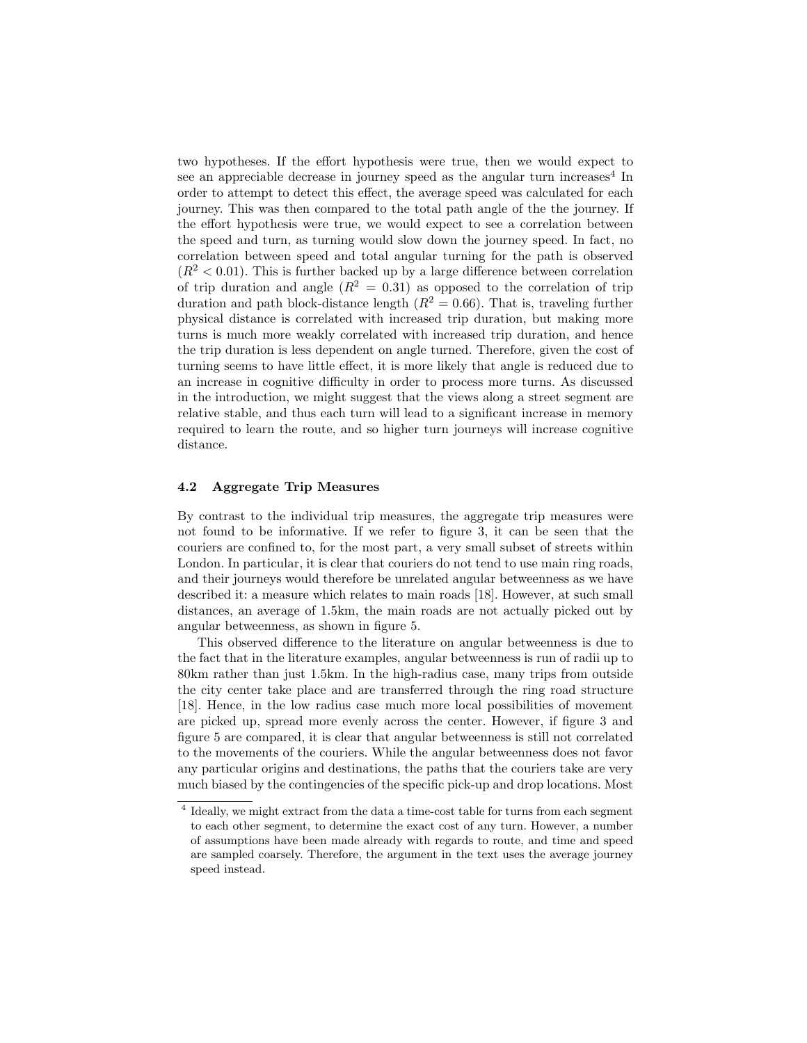two hypotheses. If the effort hypothesis were true, then we would expect to see an appreciable decrease in journey speed as the angular turn increases<sup>4</sup> In order to attempt to detect this effect, the average speed was calculated for each journey. This was then compared to the total path angle of the the journey. If the effort hypothesis were true, we would expect to see a correlation between the speed and turn, as turning would slow down the journey speed. In fact, no correlation between speed and total angular turning for the path is observed  $(R^2 < 0.01)$ . This is further backed up by a large difference between correlation of trip duration and angle  $(R^2 = 0.31)$  as opposed to the correlation of trip duration and path block-distance length ( $R^2 = 0.66$ ). That is, traveling further physical distance is correlated with increased trip duration, but making more turns is much more weakly correlated with increased trip duration, and hence the trip duration is less dependent on angle turned. Therefore, given the cost of turning seems to have little effect, it is more likely that angle is reduced due to an increase in cognitive difficulty in order to process more turns. As discussed in the introduction, we might suggest that the views along a street segment are relative stable, and thus each turn will lead to a significant increase in memory required to learn the route, and so higher turn journeys will increase cognitive distance.

#### 4.2 Aggregate Trip Measures

By contrast to the individual trip measures, the aggregate trip measures were not found to be informative. If we refer to figure 3, it can be seen that the couriers are confined to, for the most part, a very small subset of streets within London. In particular, it is clear that couriers do not tend to use main ring roads, and their journeys would therefore be unrelated angular betweenness as we have described it: a measure which relates to main roads [18]. However, at such small distances, an average of 1.5km, the main roads are not actually picked out by angular betweenness, as shown in figure 5.

This observed difference to the literature on angular betweenness is due to the fact that in the literature examples, angular betweenness is run of radii up to 80km rather than just 1.5km. In the high-radius case, many trips from outside the city center take place and are transferred through the ring road structure [18]. Hence, in the low radius case much more local possibilities of movement are picked up, spread more evenly across the center. However, if figure 3 and figure 5 are compared, it is clear that angular betweenness is still not correlated to the movements of the couriers. While the angular betweenness does not favor any particular origins and destinations, the paths that the couriers take are very much biased by the contingencies of the specific pick-up and drop locations. Most

<sup>&</sup>lt;sup>4</sup> Ideally, we might extract from the data a time-cost table for turns from each segment to each other segment, to determine the exact cost of any turn. However, a number of assumptions have been made already with regards to route, and time and speed are sampled coarsely. Therefore, the argument in the text uses the average journey speed instead.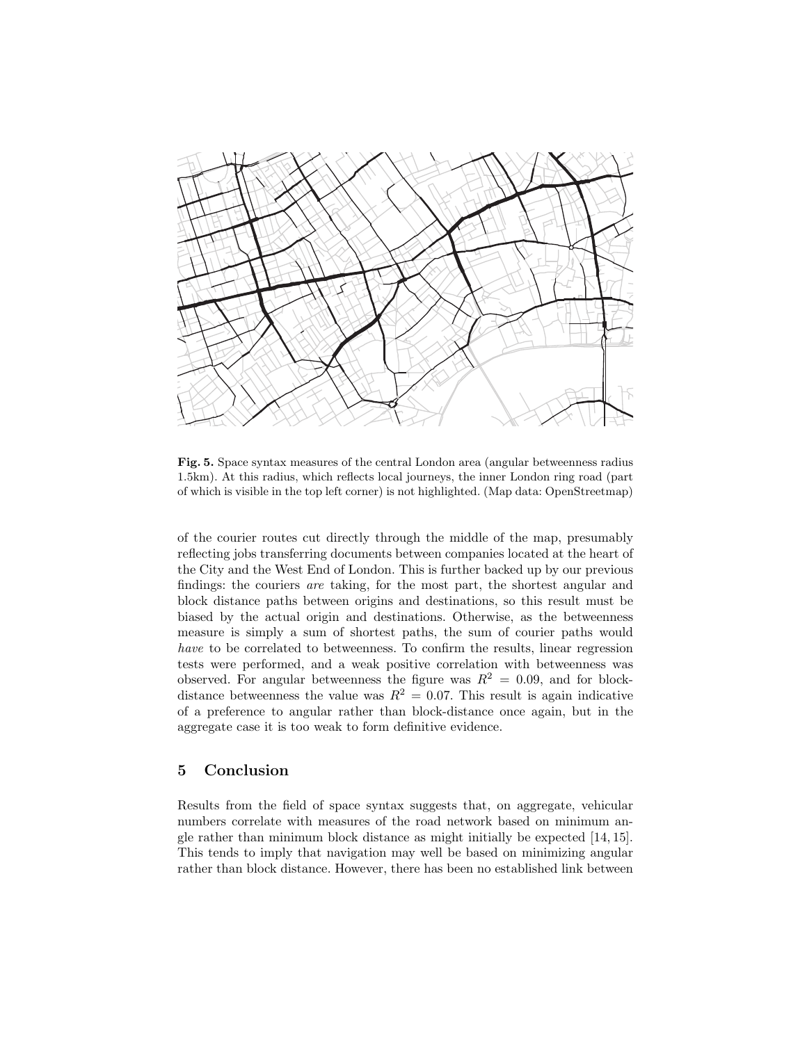

Fig. 5. Space syntax measures of the central London area (angular betweenness radius 1.5km). At this radius, which reflects local journeys, the inner London ring road (part of which is visible in the top left corner) is not highlighted. (Map data: OpenStreetmap)

of the courier routes cut directly through the middle of the map, presumably reflecting jobs transferring documents between companies located at the heart of the City and the West End of London. This is further backed up by our previous findings: the couriers are taking, for the most part, the shortest angular and block distance paths between origins and destinations, so this result must be biased by the actual origin and destinations. Otherwise, as the betweenness measure is simply a sum of shortest paths, the sum of courier paths would have to be correlated to betweenness. To confirm the results, linear regression tests were performed, and a weak positive correlation with betweenness was observed. For angular betweenness the figure was  $R^2 = 0.09$ , and for blockdistance betweenness the value was  $R^2 = 0.07$ . This result is again indicative of a preference to angular rather than block-distance once again, but in the aggregate case it is too weak to form definitive evidence.

## 5 Conclusion

Results from the field of space syntax suggests that, on aggregate, vehicular numbers correlate with measures of the road network based on minimum angle rather than minimum block distance as might initially be expected [14, 15]. This tends to imply that navigation may well be based on minimizing angular rather than block distance. However, there has been no established link between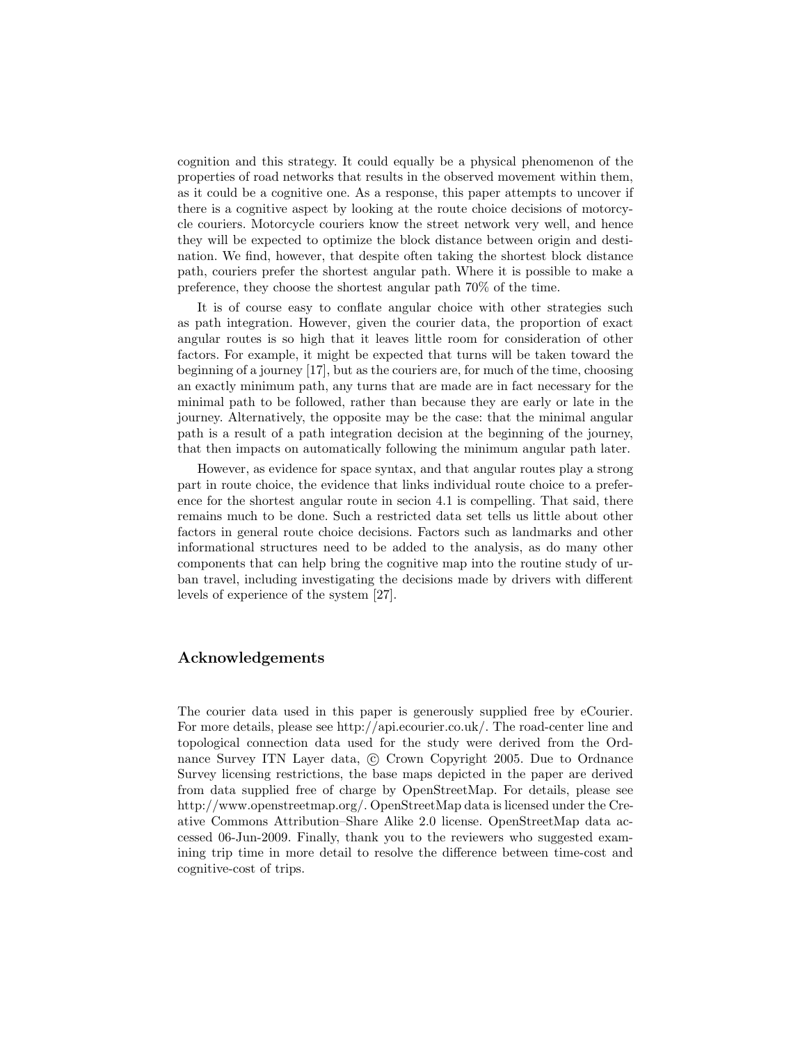cognition and this strategy. It could equally be a physical phenomenon of the properties of road networks that results in the observed movement within them, as it could be a cognitive one. As a response, this paper attempts to uncover if there is a cognitive aspect by looking at the route choice decisions of motorcycle couriers. Motorcycle couriers know the street network very well, and hence they will be expected to optimize the block distance between origin and destination. We find, however, that despite often taking the shortest block distance path, couriers prefer the shortest angular path. Where it is possible to make a preference, they choose the shortest angular path 70% of the time.

It is of course easy to conflate angular choice with other strategies such as path integration. However, given the courier data, the proportion of exact angular routes is so high that it leaves little room for consideration of other factors. For example, it might be expected that turns will be taken toward the beginning of a journey [17], but as the couriers are, for much of the time, choosing an exactly minimum path, any turns that are made are in fact necessary for the minimal path to be followed, rather than because they are early or late in the journey. Alternatively, the opposite may be the case: that the minimal angular path is a result of a path integration decision at the beginning of the journey, that then impacts on automatically following the minimum angular path later.

However, as evidence for space syntax, and that angular routes play a strong part in route choice, the evidence that links individual route choice to a preference for the shortest angular route in secion 4.1 is compelling. That said, there remains much to be done. Such a restricted data set tells us little about other factors in general route choice decisions. Factors such as landmarks and other informational structures need to be added to the analysis, as do many other components that can help bring the cognitive map into the routine study of urban travel, including investigating the decisions made by drivers with different levels of experience of the system [27].

# Acknowledgements

The courier data used in this paper is generously supplied free by eCourier. For more details, please see http://api.ecourier.co.uk/. The road-center line and topological connection data used for the study were derived from the Ordnance Survey ITN Layer data, © Crown Copyright 2005. Due to Ordnance Survey licensing restrictions, the base maps depicted in the paper are derived from data supplied free of charge by OpenStreetMap. For details, please see http://www.openstreetmap.org/. OpenStreetMap data is licensed under the Creative Commons Attribution–Share Alike 2.0 license. OpenStreetMap data accessed 06-Jun-2009. Finally, thank you to the reviewers who suggested examining trip time in more detail to resolve the difference between time-cost and cognitive-cost of trips.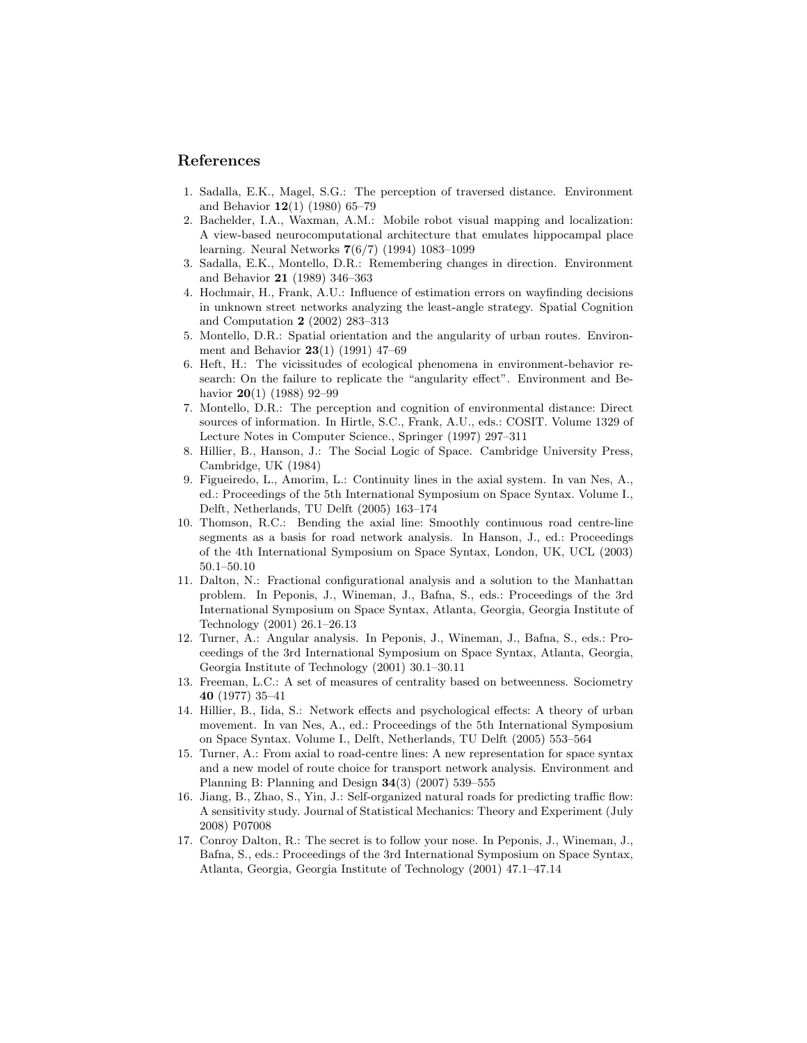## References

- 1. Sadalla, E.K., Magel, S.G.: The perception of traversed distance. Environment and Behavior 12(1) (1980) 65–79
- 2. Bachelder, I.A., Waxman, A.M.: Mobile robot visual mapping and localization: A view-based neurocomputational architecture that emulates hippocampal place learning. Neural Networks 7(6/7) (1994) 1083–1099
- 3. Sadalla, E.K., Montello, D.R.: Remembering changes in direction. Environment and Behavior 21 (1989) 346–363
- 4. Hochmair, H., Frank, A.U.: Influence of estimation errors on wayfinding decisions in unknown street networks analyzing the least-angle strategy. Spatial Cognition and Computation 2 (2002) 283–313
- 5. Montello, D.R.: Spatial orientation and the angularity of urban routes. Environment and Behavior 23(1) (1991) 47–69
- 6. Heft, H.: The vicissitudes of ecological phenomena in environment-behavior research: On the failure to replicate the "angularity effect". Environment and Behavior 20(1) (1988) 92–99
- 7. Montello, D.R.: The perception and cognition of environmental distance: Direct sources of information. In Hirtle, S.C., Frank, A.U., eds.: COSIT. Volume 1329 of Lecture Notes in Computer Science., Springer (1997) 297–311
- 8. Hillier, B., Hanson, J.: The Social Logic of Space. Cambridge University Press, Cambridge, UK (1984)
- 9. Figueiredo, L., Amorim, L.: Continuity lines in the axial system. In van Nes, A., ed.: Proceedings of the 5th International Symposium on Space Syntax. Volume I., Delft, Netherlands, TU Delft (2005) 163–174
- 10. Thomson, R.C.: Bending the axial line: Smoothly continuous road centre-line segments as a basis for road network analysis. In Hanson, J., ed.: Proceedings of the 4th International Symposium on Space Syntax, London, UK, UCL (2003) 50.1–50.10
- 11. Dalton, N.: Fractional configurational analysis and a solution to the Manhattan problem. In Peponis, J., Wineman, J., Bafna, S., eds.: Proceedings of the 3rd International Symposium on Space Syntax, Atlanta, Georgia, Georgia Institute of Technology (2001) 26.1–26.13
- 12. Turner, A.: Angular analysis. In Peponis, J., Wineman, J., Bafna, S., eds.: Proceedings of the 3rd International Symposium on Space Syntax, Atlanta, Georgia, Georgia Institute of Technology (2001) 30.1–30.11
- 13. Freeman, L.C.: A set of measures of centrality based on betweenness. Sociometry 40 (1977) 35–41
- 14. Hillier, B., Iida, S.: Network effects and psychological effects: A theory of urban movement. In van Nes, A., ed.: Proceedings of the 5th International Symposium on Space Syntax. Volume I., Delft, Netherlands, TU Delft (2005) 553–564
- 15. Turner, A.: From axial to road-centre lines: A new representation for space syntax and a new model of route choice for transport network analysis. Environment and Planning B: Planning and Design  $34(3)$  (2007) 539–555
- 16. Jiang, B., Zhao, S., Yin, J.: Self-organized natural roads for predicting traffic flow: A sensitivity study. Journal of Statistical Mechanics: Theory and Experiment (July 2008) P07008
- 17. Conroy Dalton, R.: The secret is to follow your nose. In Peponis, J., Wineman, J., Bafna, S., eds.: Proceedings of the 3rd International Symposium on Space Syntax, Atlanta, Georgia, Georgia Institute of Technology (2001) 47.1–47.14